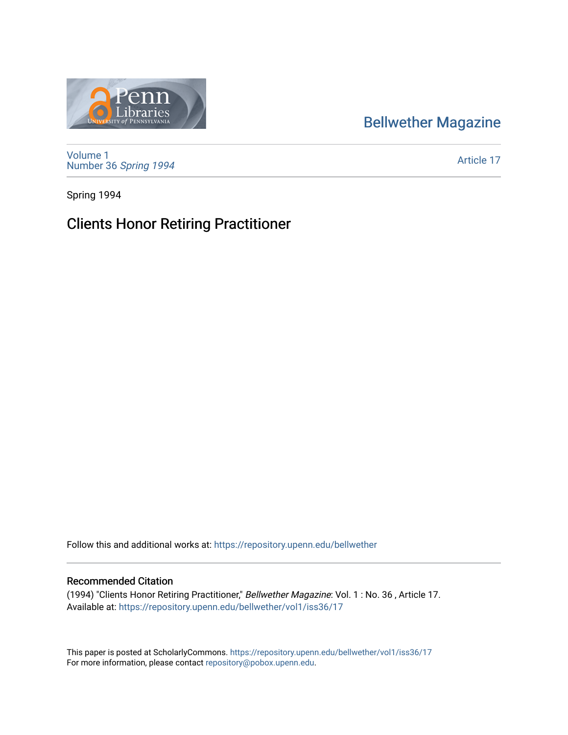## [Bellwether Magazine](https://repository.upenn.edu/bellwether)



[Volume 1](https://repository.upenn.edu/bellwether/vol1) [Number 36](https://repository.upenn.edu/bellwether/vol1/iss36) Spring 1994

[Article 17](https://repository.upenn.edu/bellwether/vol1/iss36/17) 

Spring 1994

## Clients Honor Retiring Practitioner

Follow this and additional works at: [https://repository.upenn.edu/bellwether](https://repository.upenn.edu/bellwether?utm_source=repository.upenn.edu%2Fbellwether%2Fvol1%2Fiss36%2F17&utm_medium=PDF&utm_campaign=PDFCoverPages) 

## Recommended Citation

(1994) "Clients Honor Retiring Practitioner," Bellwether Magazine: Vol. 1 : No. 36 , Article 17. Available at: [https://repository.upenn.edu/bellwether/vol1/iss36/17](https://repository.upenn.edu/bellwether/vol1/iss36/17?utm_source=repository.upenn.edu%2Fbellwether%2Fvol1%2Fiss36%2F17&utm_medium=PDF&utm_campaign=PDFCoverPages) 

This paper is posted at ScholarlyCommons.<https://repository.upenn.edu/bellwether/vol1/iss36/17> For more information, please contact [repository@pobox.upenn.edu.](mailto:repository@pobox.upenn.edu)